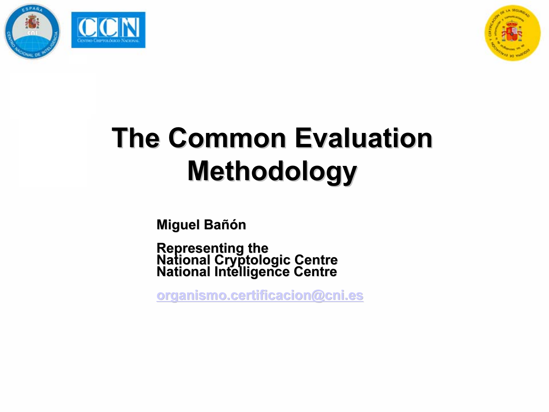



# **The Common Evaluation Methodology**

Miguel Bañón

Representing the<br>National Cryptologic Centre<br>National Intelligence Centre

organismo.certificacion@cni.es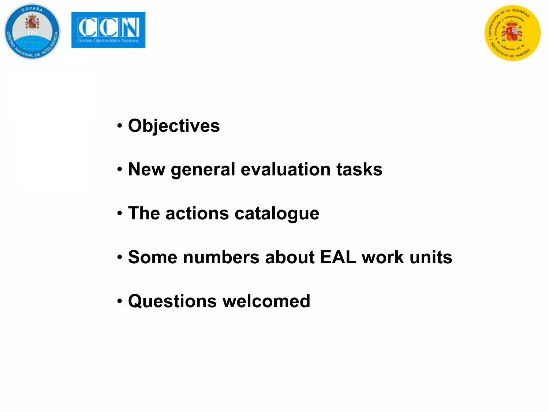



- Objectives
- New general evaluation tasks
- The actions catalogue
- Some numbers about EAL work units
- Questions welcomed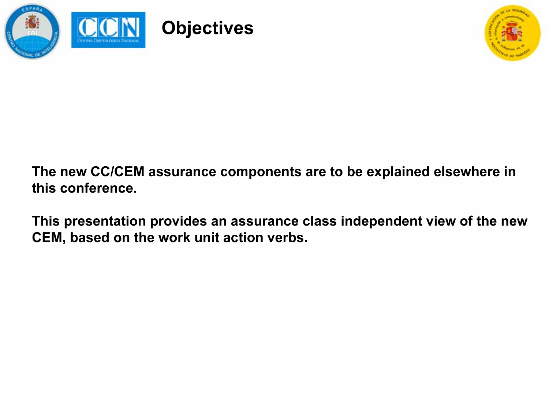



The new CC/CEM assurance components are to be explained elsewhere in this conference.

This presentation provides an assurance class independent view of the new CEM, based on the work unit action verbs.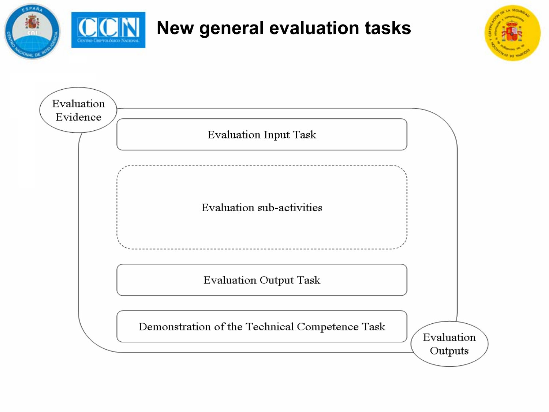

### New general evaluation tasks



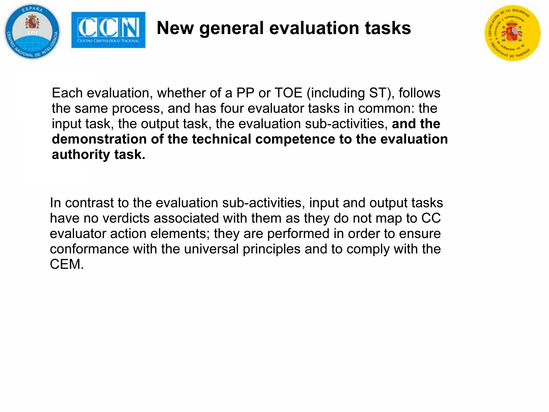

#### New general evaluation tasks



Each evaluation, whether of a PP or TOE (including ST), follows the same process, and has four evaluator tasks in common: the input task, the output task, the evaluation sub-activities, and the demonstration of the technical competence to the evaluation authority task.

In contrast to the evaluation sub-activities, input and output tasks have no verdicts associated with them as they do not map to CC evaluator action elements; they are performed in order to ensure conformance with the universal principles and to comply with the CEM.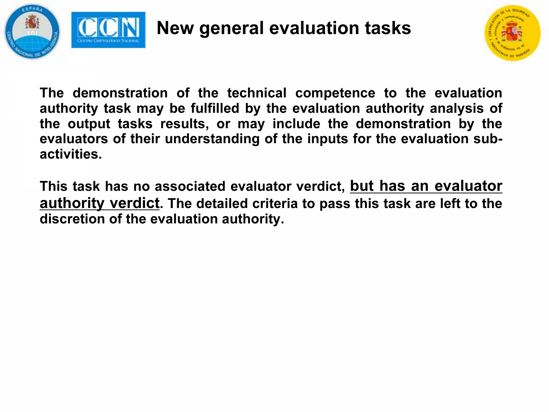



The demonstration of the technical competence to the evaluation authority task may be fulfilled by the evaluation authority analysis of the output tasks results, or may include the demonstration by the evaluators of their understanding of the inputs for the evaluation subactivities.

This task has no associated evaluator verdict, but has an evaluator **<u>authority verdict</u>**. The detailed criteria to pass this task are left to the discretion of the evaluation authority.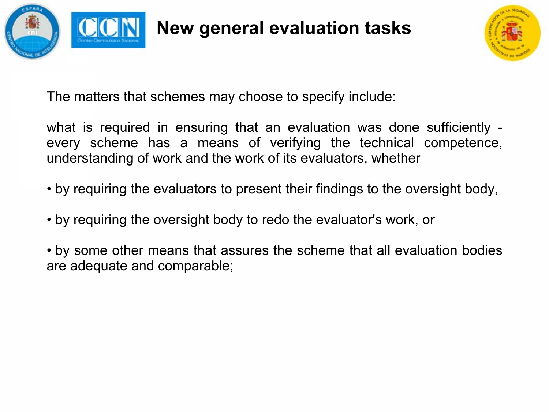

New general evaluation tasks



The matters that schemes may choose to specify include:

what is required in ensuring that an evaluation was done sufficiently every scheme has a means of verifying the technical competence, understanding of work and the work of its evaluators, whether

- by requiring the evaluators to present their findings to the oversight body,
- by requiring the oversight body to redo the evaluator's work, or

• by some other means that assures the scheme that all evaluation bodies are adequate and comparable;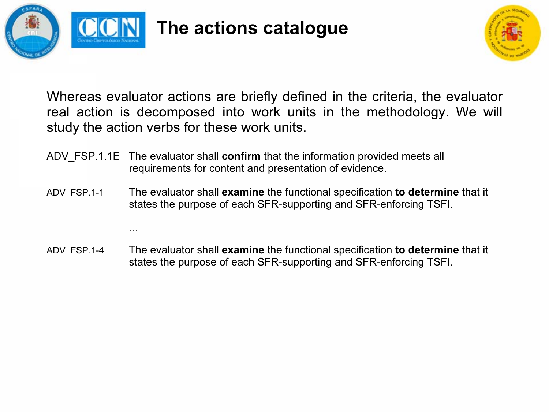

...

The actions catalogue



Whereas evaluator actions are briefly defined in the criteria, the evaluator real action is decomposed into work units in the methodology. We will study the action verbs for these work units.

- ADV FSP.1.1E The evaluator shall confirm that the information provided meets all requirements for content and presentation of evidence.
- ADV FSP.1-1 The evaluator shall examine the functional specification to determine that it states the purpose of each SFR-supporting and SFR-enforcing TSFI.
- ADV FSP.1-4 The evaluator shall examine the functional specification to determine that it states the purpose of each SFR-supporting and SFR-enforcing TSFI.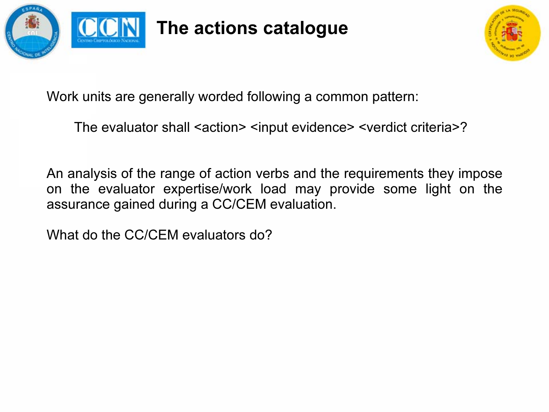



Work units are generally worded following a common pattern:

The evaluator shall <action> <input evidence> <verdict criteria>?

An analysis of the range of action verbs and the requirements they impose on the evaluator expertise/work load may provide some light on the assurance gained during a CC/CEM evaluation.

What do the CC/CEM evaluators do?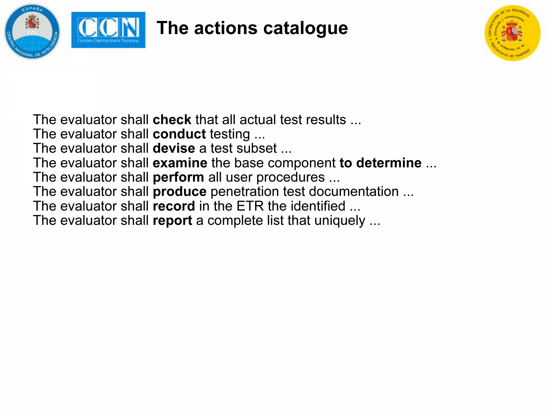



The evaluator shall **check** that all actual test results ...

The evaluator shall **conduct** testing ...

The evaluator shall **devise** a test subset ...

The evaluator shall **examine** the base component **to determine** ...

The evaluator shall **perform** all user procedures ...

The evaluator shall **produce** penetration test documentation ...

The evaluator shall **record** in the ETR the identified ...

The evaluator shall report a complete list that uniquely ...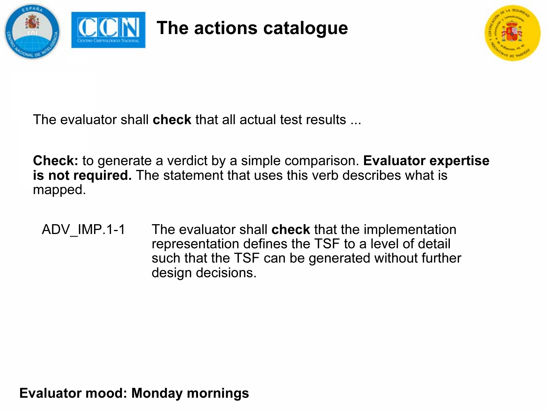



The evaluator shall **check** that all actual test results ...

Check: to generate a verdict by a simple comparison. Evaluator expertise is not required. The statement that uses this verb describes what is mapped.

ADV IMP.1-1 The evaluator shall check that the implementation representation defines the TSF to a level of detail such that the TSF can be generated without further design decisions.

Evaluator mood: Monday mornings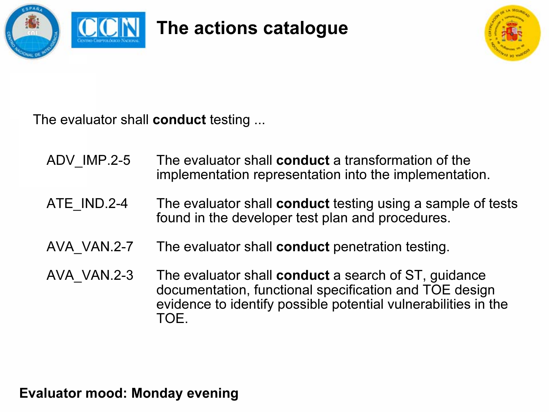



The evaluator shall **conduct** testing ...

- ADV IMP.2-5 The evaluator shall **conduct** a transformation of the implementation representation into the implementation.
- ATE IND.2-4 The evaluator shall **conduct** testing using a sample of tests found in the developer test plan and procedures.
- AVA VAN.2-7 The evaluator shall **conduct** penetration testing.
- AVA VAN.2-3 The evaluator shall conduct a search of ST, guidance documentation, functional specification and TOE design evidence to identify possible potential vulnerabilities in the TOE.

Evaluator mood: Monday evening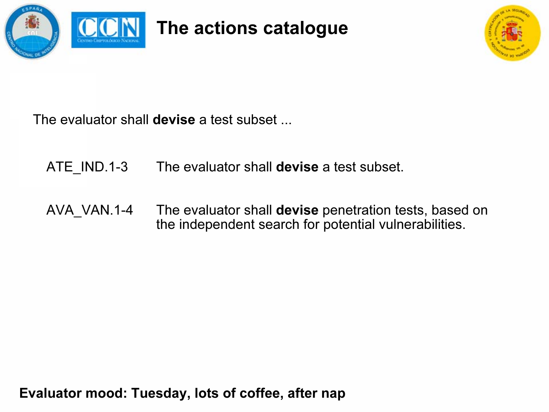



The evaluator shall **devise** a test subset ...

ATE\_IND.1-3 The evaluator shall devise a test subset.

AVA\_VAN.1-4 The evaluator shall **devise** penetration tests, based on the independent search for potential vulnerabilities.

Evaluator mood: Tuesday, lots of coffee, after nap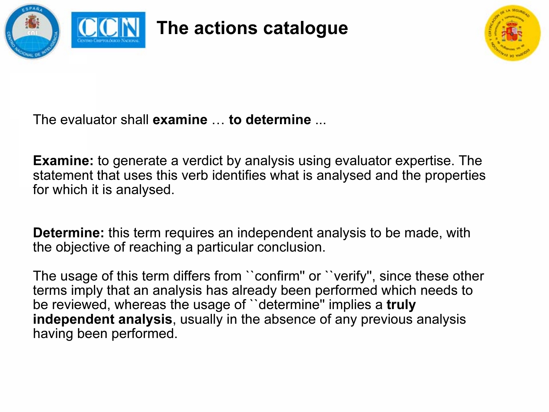

The evaluator shall **examine** … **to determine** …

Examine: to generate a verdict by analysis using evaluator expertise. The statement that uses this verb identifies what is analysed and the properties for which it is analysed.

Determine: this term requires an independent analysis to be made, with the objective of reaching a particular conclusion.

The usage of this term differs from ``confirm'' or ``verify'', since these other terms imply that an analysis has already been performed which needs to be reviewed, whereas the usage of "determine" implies a truly independent analysis, usually in the absence of any previous analysis having been performed.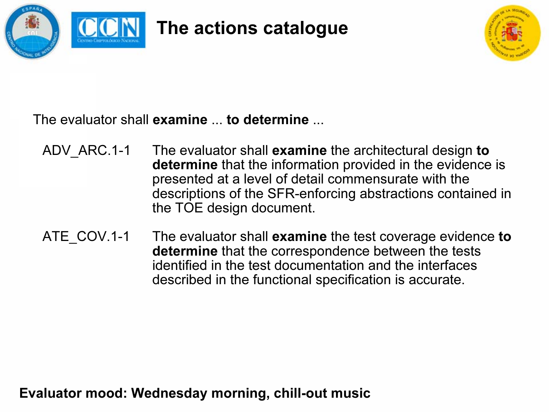



The evaluator shall **examine** ... **to determine** ...

- ADV ARC.1-1 The evaluator shall **examine** the architectural design to **determine** that the information provided in the evidence is presented at a level of detail commensurate with the descriptions of the SFR-enforcing abstractions contained in the TOE design document.
- ATE COV.1-1 The evaluator shall **examine** the test coverage evidence **to determine** that the correspondence between the tests identified in the test documentation and the interfacesdescribed in the functional specification is accurate.

Evaluator mood: Wednesday morning, chill-out music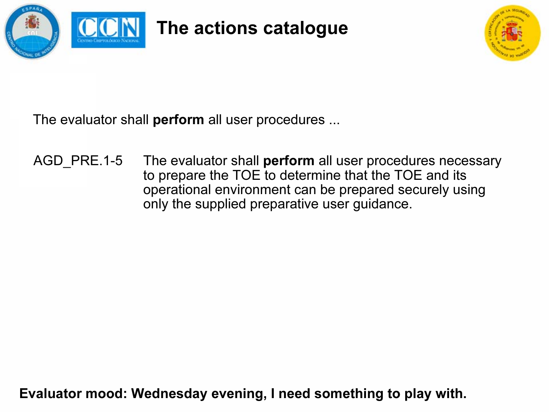



The evaluator shall **perform** all user procedures ...

AGD PRE.1-5 The evaluator shall **perform** all user procedures necessary to prepare the TOE to determine that the TOE and its operational environment can be prepared securely using only the supplied preparative user guidance.

Evaluator mood: Wednesday evening, I need something to play with.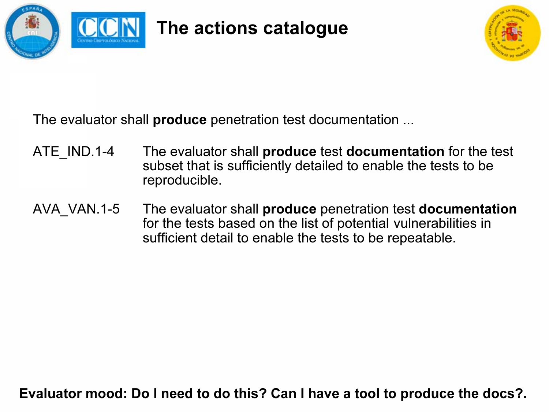



The evaluator shall **produce** penetration test documentation ...

- ATE IND.1-4 The evaluator shall **produce** test **documentation** for the test subset that is sufficiently detailed to enable the tests to be reproducible.
- AVA VAN.1-5 The evaluator shall **produce** penetration test **documentation** for the tests based on the list of potential vulnerabilities in sufficient detail to enable the tests to be repeatable.

Evaluator mood: Do I need to do this? Can I have a tool to produce the docs?.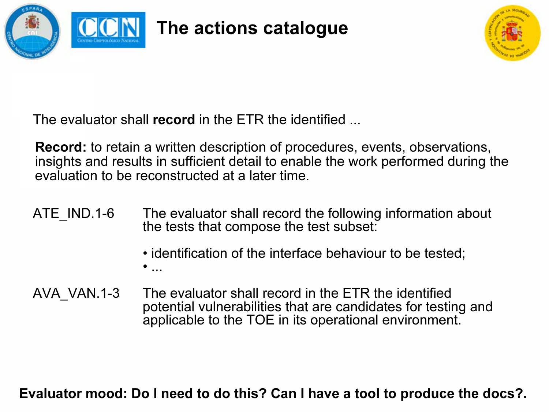



The evaluator shall **record** in the ETR the identified ...

Record: to retain a written description of procedures, events, observations, insights and results in sufficient detail to enable the work performed during the evaluation to be reconstructed at a later time.

- ATE IND.1-6 The evaluator shall record the following information about the tests that compose the test subset:
	- identification of the interface behaviour to be tested; • ...
- AVA\_VAN.1-3 The evaluator shall record in the ETR the identified potential vulnerabilities that are candidates for testing and applicable to the TOE in its operational environment.

Evaluator mood: Do I need to do this? Can I have a tool to produce the docs?.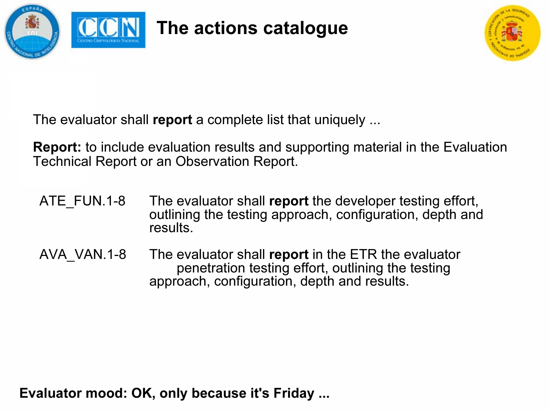



The evaluator shall report a complete list that uniquely ...

Report: to include evaluation results and supporting material in the Evaluation Technical Report or an Observation Report.

- ATE FUN.1-8 The evaluator shall report the developer testing effort, outlining the testing approach, configuration, depth and results.
- AVA VAN.1-8 The evaluator shall report in the ETR the evaluator penetration testing effort, outlining the testing approach, configuration, depth and results.

Evaluator mood: OK, only because it's Friday ...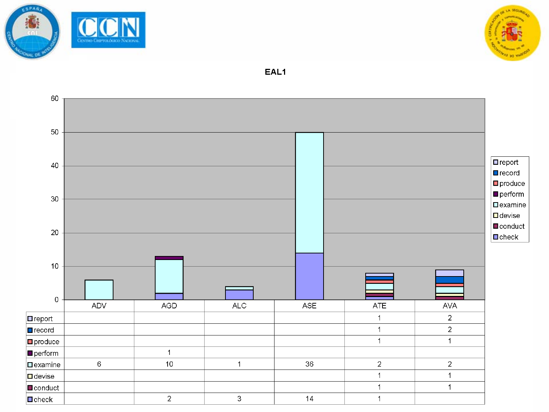



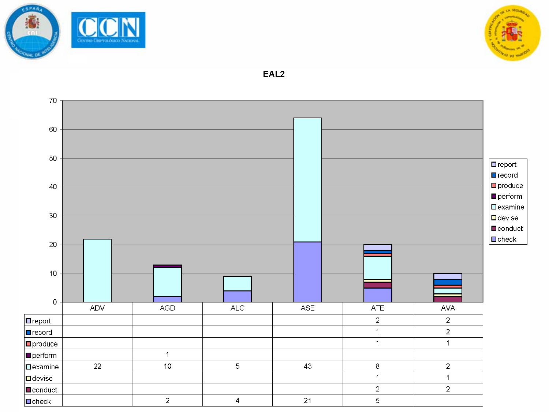



EAL<sub>2</sub>

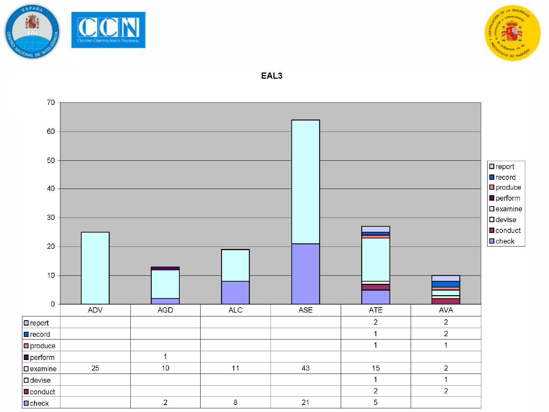

 $\Box$  conduct

 $\Box$  check

 $\overline{a}$ 

 $\,8\,$ 



70 60 50  $\boxed{\blacksquare}$ report  $\blacksquare$ record  $\Box$  produce 40  $\blacksquare$  perform  $\Box$ examine 30  $\blacksquare$  devise  $\blacksquare$  conduct  $\blacksquare$ check 20  $10$  $\overline{0}$ ADV **AGD ALC ASE ATE** AVA  $\overline{2}$  $\overline{2}$  $\Box$  report  $\overline{2}$  $\mathbf 1$  $\Box$  record  $\ddot{\phantom{1}}$  $\overline{1}$  $\square$  produce  $\mathbf{1}$  $\Box$  perform 25  $10$  $11$ 43  $15$  $\overline{2}$  $\Box$  examine  $\ddot{\phantom{1}}$  $\overline{1}$  $\Box$  devise

 $21$ 

 $\overline{2}$ 

 $\overline{5}$ 

 $\overline{2}$ 

EAL<sub>3</sub>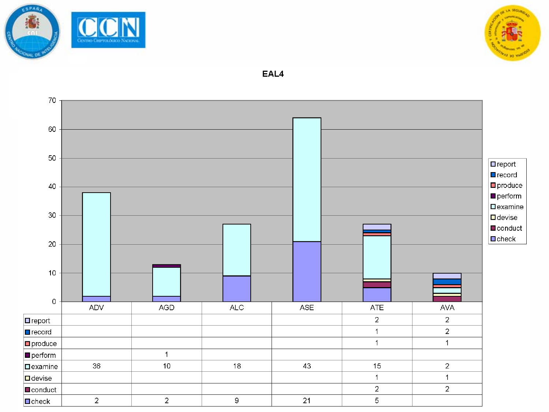



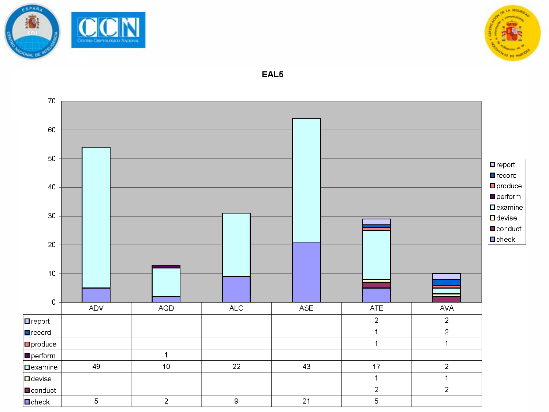

 $\Box$ check



70 60 50  $\Box$  report  $\blacksquare$ record  $\Box$  produce 40  $\blacksquare$  perform  $\square$ examine 30  $\Box$  devise  $\blacksquare$  conduct  $\Box$ check 20  $10$  $\bullet$ **ADV AGD**  $ALC$ ASE  $ATE$ **AVA**  $\overline{2}$  $\Box$  report  $\overline{2}$  $\overline{2}$  $\mathbf{1}$  $\Box$  record  $\overline{1}$  $\overline{1}$  $\Box$  produce  $\Box$  perform  $\overline{1}$ 49  $10$ 22 43  $17$  $\overline{2}$  $\square$ examine  $\overline{1}$  $\overline{1}$  $\Box$  devise  $\overline{2}$  $\overline{2}$  $\Box$  conduct  $\overline{2}$  $\overline{21}$  $\overline{5}$ 9  $\overline{5}$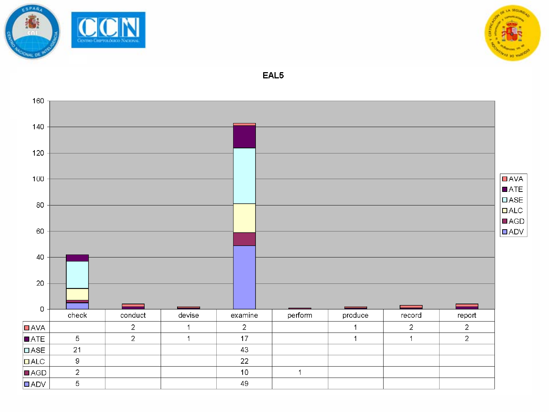